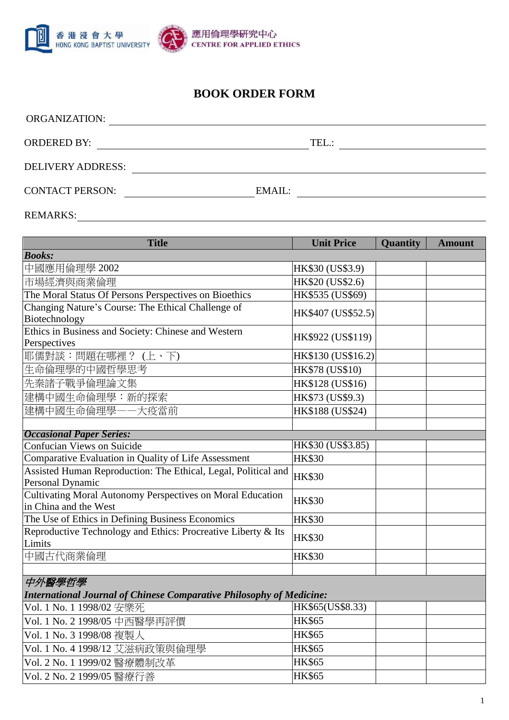

## **BOOK ORDER FORM**

| TEL:   |
|--------|
|        |
| EMAIL: |
|        |

REMARKS:

| <b>Title</b>                                                                        | <b>Unit Price</b>  | <b>Quantity</b> | <b>Amount</b> |  |  |  |  |
|-------------------------------------------------------------------------------------|--------------------|-----------------|---------------|--|--|--|--|
| <b>Books:</b>                                                                       |                    |                 |               |  |  |  |  |
| 中國應用倫理學 2002                                                                        | HK\$30 (US\$3.9)   |                 |               |  |  |  |  |
| 市場經濟與商業倫理                                                                           | HK\$20 (US\$2.6)   |                 |               |  |  |  |  |
| The Moral Status Of Persons Perspectives on Bioethics                               | HK\$535 (US\$69)   |                 |               |  |  |  |  |
| Changing Nature's Course: The Ethical Challenge of                                  | HK\$407 (US\$52.5) |                 |               |  |  |  |  |
| Biotechnology                                                                       |                    |                 |               |  |  |  |  |
| Ethics in Business and Society: Chinese and Western<br>Perspectives                 | HK\$922 (US\$119)  |                 |               |  |  |  |  |
| 耶儒對談:問題在哪裡? (上、下)                                                                   | HK\$130 (US\$16.2) |                 |               |  |  |  |  |
| 生命倫理學的中國哲學思考                                                                        | HK\$78 (US\$10)    |                 |               |  |  |  |  |
| 先秦諸子戰爭倫理論文集                                                                         | HK\$128 (US\$16)   |                 |               |  |  |  |  |
| 建構中國生命倫理學:新的探索                                                                      | HK\$73 (US\$9.3)   |                 |               |  |  |  |  |
| 建構中國生命倫理學——大疫當前                                                                     | HK\$188 (US\$24)   |                 |               |  |  |  |  |
|                                                                                     |                    |                 |               |  |  |  |  |
| <b>Occasional Paper Series:</b>                                                     |                    |                 |               |  |  |  |  |
| Confucian Views on Suicide                                                          | HK\$30 (US\$3.85)  |                 |               |  |  |  |  |
| Comparative Evaluation in Quality of Life Assessment                                | <b>HK\$30</b>      |                 |               |  |  |  |  |
| Assisted Human Reproduction: The Ethical, Legal, Political and<br>Personal Dynamic  | <b>HK\$30</b>      |                 |               |  |  |  |  |
| Cultivating Moral Autonomy Perspectives on Moral Education<br>in China and the West | <b>HK\$30</b>      |                 |               |  |  |  |  |
| The Use of Ethics in Defining Business Economics                                    | <b>HK\$30</b>      |                 |               |  |  |  |  |
| Reproductive Technology and Ethics: Procreative Liberty & Its<br>Limits             | <b>HK\$30</b>      |                 |               |  |  |  |  |
| 中國古代商業倫理                                                                            | <b>HK\$30</b>      |                 |               |  |  |  |  |
|                                                                                     |                    |                 |               |  |  |  |  |
| 中外醫學哲學                                                                              |                    |                 |               |  |  |  |  |
| <b>International Journal of Chinese Comparative Philosophy of Medicine:</b>         |                    |                 |               |  |  |  |  |

Vol. 1 No. 1 1998/02 安樂死 HK\$65(US\$8.33) Vol. 1 No. 2 1998/05 中西醫學再評價 HK\$65 Vol. 1 No. 3 1998/08 複製人 HK\$65 Vol. 1 No. 4 1998/12 艾滋病政策與倫理學 HK\$65 Vol. 2 No. 1 1999/02 醫療體制改革 HK\$65 Vol. 2 No. 2 1999/05 醫療行善 HK\$65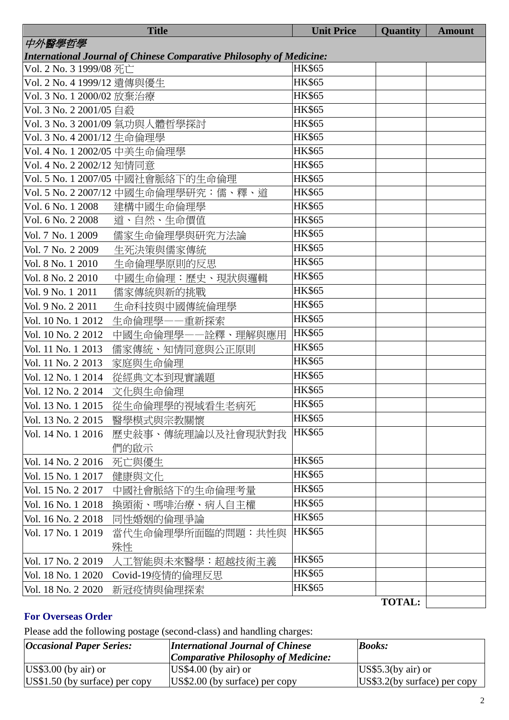|                                                                             | <b>Title</b>                         | <b>Unit Price</b> | <b>Quantity</b> | <b>Amount</b> |  |
|-----------------------------------------------------------------------------|--------------------------------------|-------------------|-----------------|---------------|--|
| 中外醫學哲學                                                                      |                                      |                   |                 |               |  |
| <b>International Journal of Chinese Comparative Philosophy of Medicine:</b> |                                      |                   |                 |               |  |
| Vol. 2 No. 3 1999/08 死亡                                                     |                                      | <b>HK\$65</b>     |                 |               |  |
| Vol. 2 No. 4 1999/12 遺傳與優生                                                  |                                      | <b>HK\$65</b>     |                 |               |  |
| Vol. 3 No. 1 2000/02 放棄治療                                                   |                                      | <b>HK\$65</b>     |                 |               |  |
| Vol. 3 No. 2 2001/05 自殺                                                     |                                      | <b>HK\$65</b>     |                 |               |  |
|                                                                             | Vol. 3 No. 3 2001/09 氣功與人體哲學探討       | <b>HK\$65</b>     |                 |               |  |
| Vol. 3 No. 4 2001/12 生命倫理學                                                  |                                      | <b>HK\$65</b>     |                 |               |  |
| Vol. 4 No. 1 2002/05 中美生命倫理學                                                |                                      | <b>HK\$65</b>     |                 |               |  |
| Vol. 4 No. 2 2002/12 知情同意                                                   |                                      | <b>HK\$65</b>     |                 |               |  |
|                                                                             | Vol. 5 No. 1 2007/05 中國社會脈絡下的生命倫理    | <b>HK\$65</b>     |                 |               |  |
|                                                                             | Vol. 5 No. 2 2007/12 中國生命倫理學研究:儒、釋、道 | <b>HK\$65</b>     |                 |               |  |
| Vol. 6 No. 1 2008                                                           | 建構中國生命倫理學                            | <b>HK\$65</b>     |                 |               |  |
| Vol. 6 No. 2 2008                                                           | 道、自然、生命價值                            | <b>HK\$65</b>     |                 |               |  |
| Vol. 7 No. 1 2009                                                           | 儒家生命倫理學與研究方法論                        | <b>HK\$65</b>     |                 |               |  |
| Vol. 7 No. 2 2009                                                           | 生死決策與儒家傳統                            | <b>HK\$65</b>     |                 |               |  |
| Vol. 8 No. 1 2010                                                           | 生命倫理學原則的反思                           | <b>HK\$65</b>     |                 |               |  |
| Vol. 8 No. 2 2010                                                           | 中國生命倫理:歷史、現狀與邏輯                      | <b>HK\$65</b>     |                 |               |  |
| Vol. 9 No. 1 2011                                                           | 儒家傳統與新的挑戰                            | <b>HK\$65</b>     |                 |               |  |
| Vol. 9 No. 2 2011                                                           | 生命科技與中國傳統倫理學                         | <b>HK\$65</b>     |                 |               |  |
| Vol. 10 No. 1 2012                                                          | 生命倫理學——重新探索                          | <b>HK\$65</b>     |                 |               |  |
| Vol. 10 No. 2 2012                                                          | 中國生命倫理學––詮釋、理解與應用                    | <b>HK\$65</b>     |                 |               |  |
| Vol. 11 No. 1 2013                                                          | 儒家傳統、知情同意與公正原則                       | <b>HK\$65</b>     |                 |               |  |
| Vol. 11 No. 2 2013                                                          | 家庭與生命倫理                              | <b>HK\$65</b>     |                 |               |  |
| Vol. 12 No. 1 2014                                                          | 從經典文本到現實議題                           | <b>HK\$65</b>     |                 |               |  |
| Vol. 12 No. 2 2014                                                          | 文化與生命倫理                              | <b>HK\$65</b>     |                 |               |  |
| Vol. 13 No. 1 2015                                                          | 從生命倫理學的視域看生老病死                       | <b>HK\$65</b>     |                 |               |  |
| Vol. 13 No. 2 2015                                                          | 醫學模式與宗教關懷                            | <b>HK\$65</b>     |                 |               |  |
| Vol. 14 No. 1 2016                                                          | 歷史敍事、傳統理論以及社會現狀對我                    | <b>HK\$65</b>     |                 |               |  |
|                                                                             | 們的啟示                                 |                   |                 |               |  |
| Vol. 14 No. 2 2016                                                          | 死亡與優生                                | <b>HK\$65</b>     |                 |               |  |
| Vol. 15 No. 1 2017                                                          | 健康與文化                                | <b>HK\$65</b>     |                 |               |  |
| Vol. 15 No. 2 2017                                                          | 中國社會脈絡下的生命倫理考量                       | <b>HK\$65</b>     |                 |               |  |
| Vol. 16 No. 1 2018                                                          | 換頭術、嗎啡治療、病人自主權                       | <b>HK\$65</b>     |                 |               |  |
| Vol. 16 No. 2 2018                                                          | 同性婚姻的倫理爭論                            | <b>HK\$65</b>     |                 |               |  |
| Vol. 17 No. 1 2019                                                          | 當代生命倫理學所面臨的問題:共性與                    | <b>HK\$65</b>     |                 |               |  |
|                                                                             | 殊性                                   |                   |                 |               |  |
| Vol. 17 No. 2 2019                                                          | 人工智能與未來醫學:超越技術主義                     | <b>HK\$65</b>     |                 |               |  |
| Vol. 18 No. 1 2020                                                          | Covid-19疫情的倫理反思                      | <b>HK\$65</b>     |                 |               |  |
| Vol. 18 No. 2 2020                                                          | 新冠疫情與倫理探索                            | <b>HK\$65</b>     |                 |               |  |
|                                                                             |                                      |                   | <b>TOTAL:</b>   |               |  |

## **For Overseas Order**

Please add the following postage (second-class) and handling charges:

| <i><b>Occasional Paper Series:</b></i> | <b>International Journal of Chinese</b>                 | <b>Books:</b>                 |
|----------------------------------------|---------------------------------------------------------|-------------------------------|
|                                        | Comparative Philosophy of Medicine:                     |                               |
| $\text{US}\$3.00$ (by air) or          | $\textcolor{blue}{\text{USS}}4.00 \text{ (by air) or }$ | $\text{US}\$5.3$ (by air) or  |
| $\vert US\$1.50$ (by surface) per copy | $\vert$ US\$2.00 (by surface) per copy                  | $US$3.2(by surface)$ per copy |